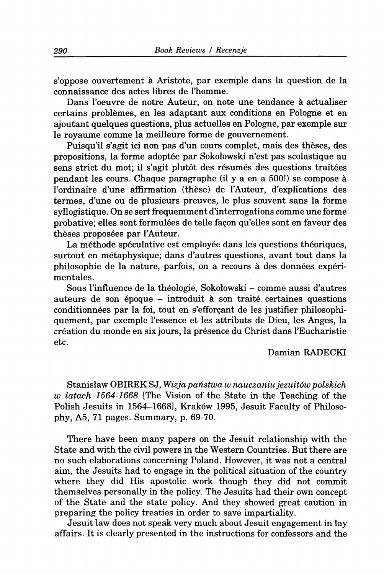s'oppose ouvertement ä Aristote, par exemple dans la question de la connaissance des actes libres de l'homme.

Dans l'oeuvre de notre Auteur, on note une tendance à actualiser certains problämes, en les adaptant aux conditions en Pologne et en ajoutant quelques questions, plus actuelles en Pologne, par exemple sur le royaume comme la meilleure forme de gouvernement.

Puisqu'il s'agit ici non pas d'un cours complet, mais des **theses,** des propositions, la forme adoptee par Sokolowski n'est pas scolastique au sens strict du mot; il s'agit plutot des resumes des questions traitees pendant les cours. Chaque paragraphe (il y a en a 500!) se compose ä I'ordinaire d'une affirmation (these) de I'Auteur, d'explications des termes, d'une ou de plusieurs preuves, le plus souvent sans la forme syllogistique. On se sert frequemment d'interrogations comme une forme probative; elles sont formulees de telle fagon qu'elles sont en faveur des thèses proposées par l'Auteur.

La méthode spéculative est employée dans les questions théoriques, surtout en metaphysique; dans d'autres questions, avant tout dans la philosophie de la nature, parfois, on a recours ä des donnees experimentales.

Sous I'influence de la theologie, Sokolowski - comme aussi d'autres auteurs de son 6poque - introduit ä son traite certaines questions conditionnees par la foi, tout en s'efforgant de les justifier philosophiquement, par exemple l'essence et les attributs de Dieu, les Anges, la creation du monde en six jours, la presence du Christ dans I'Eucharistie etc.

## Damian RADECKI

Stanislaw OBIREK SJ, *Vfizja panstwa w nauczaniu jezuitöw polskich w latach 1564-1668* [The Vision of the State in the Teaching of the Pohsh Jesuits in 1564-1668], Kraköw 1995, Jesuit Faculty of Philosophy, A5, 71 pages. Summary, p. 69-70.

There have been many papers on the Jesuit relationship with the State and with the civil powers in the Western Countries. But there are no such elaborations concerning Poland. However, it was not a central aim, the Jesuits had to engage in the political situation of the country where they did His apostolic work though they did not commit themselves personally in the policy. The Jesuits had their own concept of the State and the state policy. And they showed great caution in preparing the policy treaties in order to save impartiality.

Jesuit law does not speak very much about Jesuit engagement in lay affairs. It is clearly presented in the instructions for confessors and the